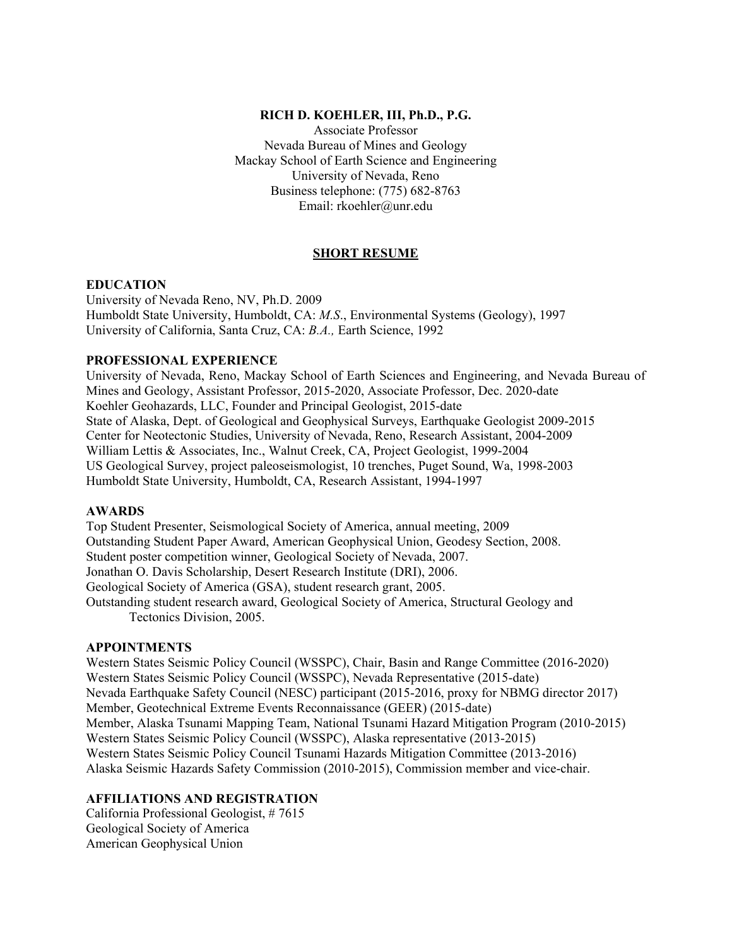## **RICH D. KOEHLER, III, Ph.D., P.G.**

Associate Professor Nevada Bureau of Mines and Geology Mackay School of Earth Science and Engineering University of Nevada, Reno Business telephone: (775) 682-8763 Email: rkoehler@unr.edu

# **SHORT RESUME**

#### **EDUCATION**

University of Nevada Reno, NV, Ph.D. 2009 Humboldt State University, Humboldt, CA: *M.S*., Environmental Systems (Geology), 1997 University of California, Santa Cruz, CA: *B.A.,* Earth Science, 1992

#### **PROFESSIONAL EXPERIENCE**

University of Nevada, Reno, Mackay School of Earth Sciences and Engineering, and Nevada Bureau of Mines and Geology, Assistant Professor, 2015-2020, Associate Professor, Dec. 2020-date Koehler Geohazards, LLC, Founder and Principal Geologist, 2015-date State of Alaska, Dept. of Geological and Geophysical Surveys, Earthquake Geologist 2009-2015 Center for Neotectonic Studies, University of Nevada, Reno, Research Assistant, 2004-2009 William Lettis & Associates, Inc., Walnut Creek, CA, Project Geologist, 1999-2004 US Geological Survey, project paleoseismologist, 10 trenches, Puget Sound, Wa, 1998-2003 Humboldt State University, Humboldt, CA, Research Assistant, 1994-1997

## **AWARDS**

Top Student Presenter, Seismological Society of America, annual meeting, 2009 Outstanding Student Paper Award, American Geophysical Union, Geodesy Section, 2008. Student poster competition winner, Geological Society of Nevada, 2007. Jonathan O. Davis Scholarship, Desert Research Institute (DRI), 2006. Geological Society of America (GSA), student research grant, 2005. Outstanding student research award, Geological Society of America, Structural Geology and Tectonics Division, 2005.

#### **APPOINTMENTS**

Western States Seismic Policy Council (WSSPC), Chair, Basin and Range Committee (2016-2020) Western States Seismic Policy Council (WSSPC), Nevada Representative (2015-date) Nevada Earthquake Safety Council (NESC) participant (2015-2016, proxy for NBMG director 2017) Member, Geotechnical Extreme Events Reconnaissance (GEER) (2015-date) Member, Alaska Tsunami Mapping Team, National Tsunami Hazard Mitigation Program (2010-2015) Western States Seismic Policy Council (WSSPC), Alaska representative (2013-2015) Western States Seismic Policy Council Tsunami Hazards Mitigation Committee (2013-2016) Alaska Seismic Hazards Safety Commission (2010-2015), Commission member and vice-chair.

# **AFFILIATIONS AND REGISTRATION**

California Professional Geologist, # 7615 Geological Society of America American Geophysical Union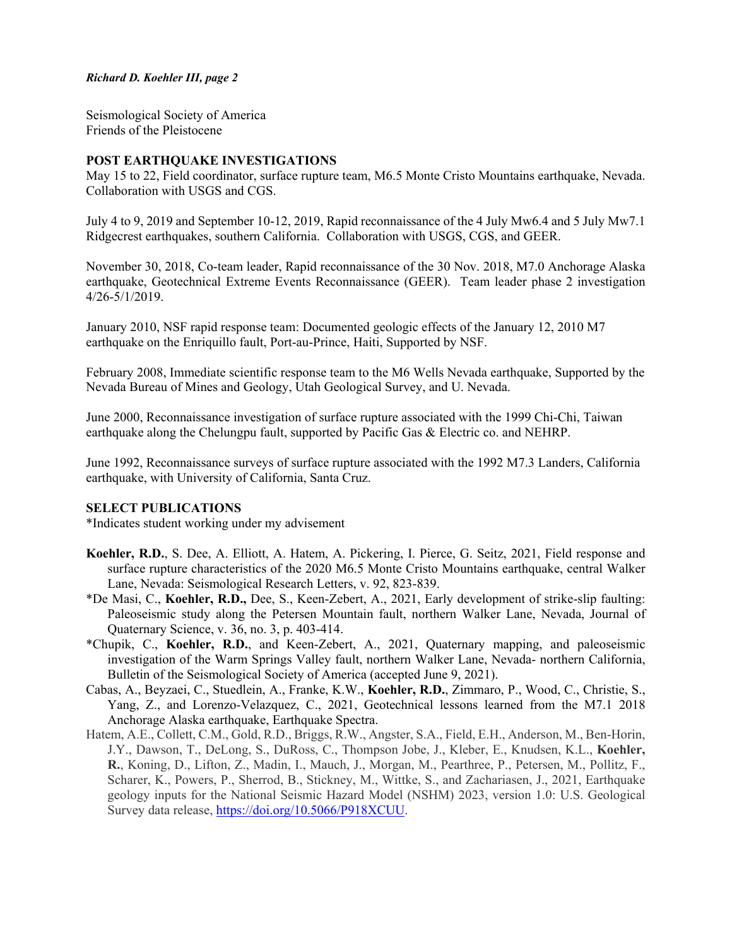## *Richard D. Koehler III, page 2*

Seismological Society of America Friends of the Pleistocene

## **POST EARTHQUAKE INVESTIGATIONS**

May 15 to 22, Field coordinator, surface rupture team, M6.5 Monte Cristo Mountains earthquake, Nevada. Collaboration with USGS and CGS.

July 4 to 9, 2019 and September 10-12, 2019, Rapid reconnaissance of the 4 July Mw6.4 and 5 July Mw7.1 Ridgecrest earthquakes, southern California. Collaboration with USGS, CGS, and GEER.

November 30, 2018, Co-team leader, Rapid reconnaissance of the 30 Nov. 2018, M7.0 Anchorage Alaska earthquake, Geotechnical Extreme Events Reconnaissance (GEER). Team leader phase 2 investigation 4/26-5/1/2019.

January 2010, NSF rapid response team: Documented geologic effects of the January 12, 2010 M7 earthquake on the Enriquillo fault, Port-au-Prince, Haiti, Supported by NSF.

February 2008, Immediate scientific response team to the M6 Wells Nevada earthquake, Supported by the Nevada Bureau of Mines and Geology, Utah Geological Survey, and U. Nevada.

June 2000, Reconnaissance investigation of surface rupture associated with the 1999 Chi-Chi, Taiwan earthquake along the Chelungpu fault, supported by Pacific Gas & Electric co. and NEHRP.

June 1992, Reconnaissance surveys of surface rupture associated with the 1992 M7.3 Landers, California earthquake, with University of California, Santa Cruz.

#### **SELECT PUBLICATIONS**

\*Indicates student working under my advisement

- **Koehler, R.D.**, S. Dee, A. Elliott, A. Hatem, A. Pickering, I. Pierce, G. Seitz, 2021, Field response and surface rupture characteristics of the 2020 M6.5 Monte Cristo Mountains earthquake, central Walker Lane, Nevada: Seismological Research Letters, v. 92, 823-839.
- \*De Masi, C., **Koehler, R.D.,** Dee, S., Keen-Zebert, A., 2021, Early development of strike-slip faulting: Paleoseismic study along the Petersen Mountain fault, northern Walker Lane, Nevada, Journal of Quaternary Science, v. 36, no. 3, p. 403-414.
- \*Chupik, C., **Koehler, R.D.**, and Keen-Zebert, A., 2021, Quaternary mapping, and paleoseismic investigation of the Warm Springs Valley fault, northern Walker Lane, Nevada- northern California, Bulletin of the Seismological Society of America (accepted June 9, 2021).
- Cabas, A., Beyzaei, C., Stuedlein, A., Franke, K.W., **Koehler, R.D.**, Zimmaro, P., Wood, C., Christie, S., Yang, Z., and Lorenzo-Velazquez, C., 2021, Geotechnical lessons learned from the M7.1 2018 Anchorage Alaska earthquake, Earthquake Spectra.
- Hatem, A.E., Collett, C.M., Gold, R.D., Briggs, R.W., Angster, S.A., Field, E.H., Anderson, M., Ben-Horin, J.Y., Dawson, T., DeLong, S., DuRoss, C., Thompson Jobe, J., Kleber, E., Knudsen, K.L., **Koehler, R.**, Koning, D., Lifton, Z., Madin, I., Mauch, J., Morgan, M., Pearthree, P., Petersen, M., Pollitz, F., Scharer, K., Powers, P., Sherrod, B., Stickney, M., Wittke, S., and Zachariasen, J., 2021, Earthquake geology inputs for the National Seismic Hazard Model (NSHM) 2023, version 1.0: U.S. Geological Survey data release, [https://doi.org/10.5066/P918XCUU.](https://doi.org/10.5066/P918XCUU)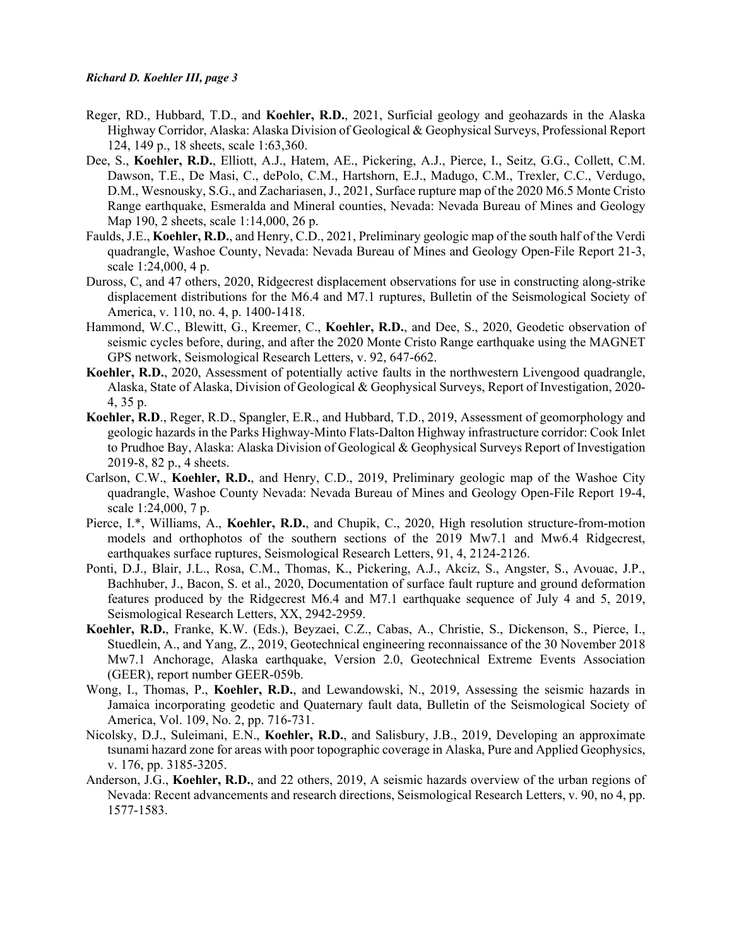- Reger, RD., Hubbard, T.D., and **Koehler, R.D.**, 2021, Surficial geology and geohazards in the Alaska Highway Corridor, Alaska: Alaska Division of Geological & Geophysical Surveys, Professional Report 124, 149 p., 18 sheets, scale 1:63,360.
- Dee, S., **Koehler, R.D.**, Elliott, A.J., Hatem, AE., Pickering, A.J., Pierce, I., Seitz, G.G., Collett, C.M. Dawson, T.E., De Masi, C., dePolo, C.M., Hartshorn, E.J., Madugo, C.M., Trexler, C.C., Verdugo, D.M., Wesnousky, S.G., and Zachariasen, J., 2021, Surface rupture map of the 2020 M6.5 Monte Cristo Range earthquake, Esmeralda and Mineral counties, Nevada: Nevada Bureau of Mines and Geology Map 190, 2 sheets, scale 1:14,000, 26 p.
- Faulds, J.E., **Koehler, R.D.**, and Henry, C.D., 2021, Preliminary geologic map of the south half of the Verdi quadrangle, Washoe County, Nevada: Nevada Bureau of Mines and Geology Open-File Report 21-3, scale 1:24,000, 4 p.
- Duross, C, and 47 others, 2020, Ridgecrest displacement observations for use in constructing along-strike displacement distributions for the M6.4 and M7.1 ruptures, Bulletin of the Seismological Society of America, v. 110, no. 4, p. 1400-1418.
- Hammond, W.C., Blewitt, G., Kreemer, C., **Koehler, R.D.**, and Dee, S., 2020, Geodetic observation of seismic cycles before, during, and after the 2020 Monte Cristo Range earthquake using the MAGNET GPS network, Seismological Research Letters, v. 92, 647-662.
- **Koehler, R.D.**, 2020, Assessment of potentially active faults in the northwestern Livengood quadrangle, Alaska, State of Alaska, Division of Geological & Geophysical Surveys, Report of Investigation, 2020- 4, 35 p.
- **Koehler, R.D**., Reger, R.D., Spangler, E.R., and Hubbard, T.D., 2019, Assessment of geomorphology and geologic hazards in the Parks Highway-Minto Flats-Dalton Highway infrastructure corridor: Cook Inlet to Prudhoe Bay, Alaska: Alaska Division of Geological & Geophysical Surveys Report of Investigation 2019-8, 82 p., 4 sheets.
- Carlson, C.W., **Koehler, R.D.**, and Henry, C.D., 2019, Preliminary geologic map of the Washoe City quadrangle, Washoe County Nevada: Nevada Bureau of Mines and Geology Open-File Report 19-4, scale 1:24,000, 7 p.
- Pierce, I.\*, Williams, A., **Koehler, R.D.**, and Chupik, C., 2020, High resolution structure-from-motion models and orthophotos of the southern sections of the 2019 Mw7.1 and Mw6.4 Ridgecrest, earthquakes surface ruptures, Seismological Research Letters, 91, 4, 2124-2126.
- Ponti, D.J., Blair, J.L., Rosa, C.M., Thomas, K., Pickering, A.J., Akciz, S., Angster, S., Avouac, J.P., Bachhuber, J., Bacon, S. et al., 2020, Documentation of surface fault rupture and ground deformation features produced by the Ridgecrest M6.4 and M7.1 earthquake sequence of July 4 and 5, 2019, Seismological Research Letters, XX, 2942-2959.
- **Koehler, R.D.**, Franke, K.W. (Eds.), Beyzaei, C.Z., Cabas, A., Christie, S., Dickenson, S., Pierce, I., Stuedlein, A., and Yang, Z., 2019, Geotechnical engineering reconnaissance of the 30 November 2018 Mw7.1 Anchorage, Alaska earthquake, Version 2.0, Geotechnical Extreme Events Association (GEER), report number GEER-059b.
- Wong, I., Thomas, P., **Koehler, R.D.**, and Lewandowski, N., 2019, Assessing the seismic hazards in Jamaica incorporating geodetic and Quaternary fault data, Bulletin of the Seismological Society of America, Vol. 109, No. 2, pp. 716-731.
- Nicolsky, D.J., Suleimani, E.N., **Koehler, R.D.**, and Salisbury, J.B., 2019, Developing an approximate tsunami hazard zone for areas with poor topographic coverage in Alaska, Pure and Applied Geophysics, v. 176, pp. 3185-3205.
- Anderson, J.G., **Koehler, R.D.**, and 22 others, 2019, A seismic hazards overview of the urban regions of Nevada: Recent advancements and research directions, Seismological Research Letters, v. 90, no 4, pp. 1577-1583.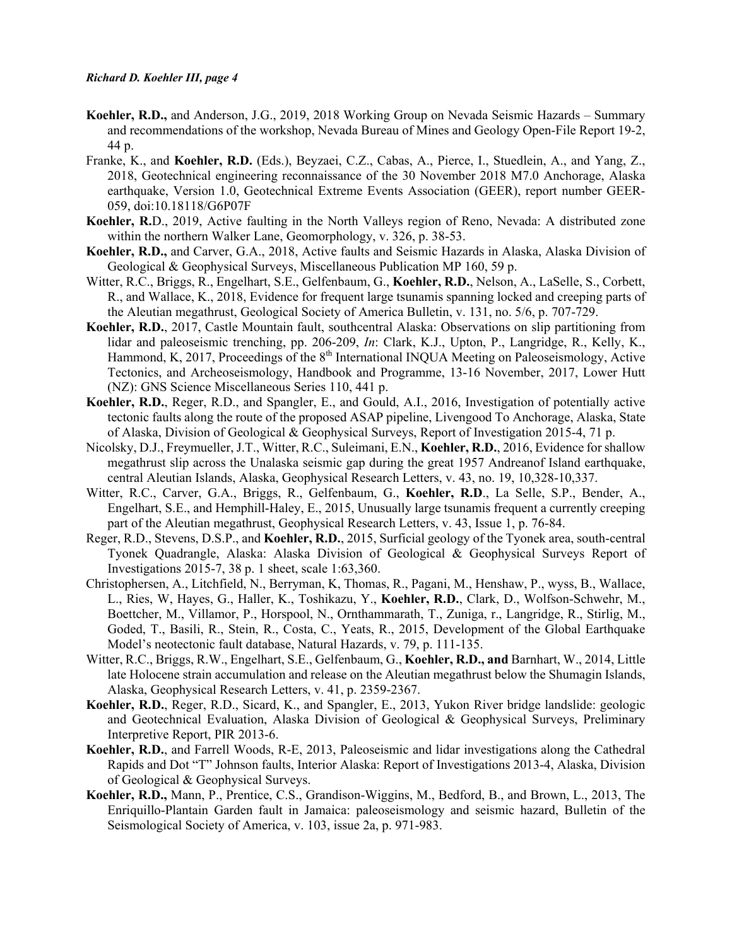- **Koehler, R.D.,** and Anderson, J.G., 2019, 2018 Working Group on Nevada Seismic Hazards Summary and recommendations of the workshop, Nevada Bureau of Mines and Geology Open-File Report 19-2, 44 p.
- Franke, K., and **Koehler, R.D.** (Eds.), Beyzaei, C.Z., Cabas, A., Pierce, I., Stuedlein, A., and Yang, Z., 2018, Geotechnical engineering reconnaissance of the 30 November 2018 M7.0 Anchorage, Alaska earthquake, Version 1.0, Geotechnical Extreme Events Association (GEER), report number GEER-059, doi:10.18118/G6P07F
- **Koehler, R.**D., 2019, Active faulting in the North Valleys region of Reno, Nevada: A distributed zone within the northern Walker Lane, Geomorphology, v. 326, p. 38-53.
- **Koehler, R.D.,** and Carver, G.A., 2018, Active faults and Seismic Hazards in Alaska, Alaska Division of Geological & Geophysical Surveys, Miscellaneous Publication MP 160, 59 p.
- Witter, R.C., Briggs, R., Engelhart, S.E., Gelfenbaum, G., **Koehler, R.D.**, Nelson, A., LaSelle, S., Corbett, R., and Wallace, K., 2018, Evidence for frequent large tsunamis spanning locked and creeping parts of the Aleutian megathrust, Geological Society of America Bulletin, v. 131, no. 5/6, p. 707-729.
- **Koehler, R.D.**, 2017, Castle Mountain fault, southcentral Alaska: Observations on slip partitioning from lidar and paleoseismic trenching, pp. 206-209, *In*: Clark, K.J., Upton, P., Langridge, R., Kelly, K., Hammond, K, 2017, Proceedings of the  $8<sup>th</sup>$  International INQUA Meeting on Paleoseismology, Active Tectonics, and Archeoseismology, Handbook and Programme, 13-16 November, 2017, Lower Hutt (NZ): GNS Science Miscellaneous Series 110, 441 p.
- **Koehler, R.D.**, Reger, R.D., and Spangler, E., and Gould, A.I., 2016, Investigation of potentially active tectonic faults along the route of the proposed ASAP pipeline, Livengood To Anchorage, Alaska, State of Alaska, Division of Geological & Geophysical Surveys, Report of Investigation 2015-4, 71 p.
- Nicolsky, D.J., Freymueller, J.T., Witter, R.C., Suleimani, E.N., **Koehler, R.D.**, 2016, Evidence for shallow megathrust slip across the Unalaska seismic gap during the great 1957 Andreanof Island earthquake, central Aleutian Islands, Alaska, Geophysical Research Letters, v. 43, no. 19, 10,328-10,337.
- Witter, R.C., Carver, G.A., Briggs, R., Gelfenbaum, G., **Koehler, R.D**., La Selle, S.P., Bender, A., Engelhart, S.E., and Hemphill-Haley, E., 2015, Unusually large tsunamis frequent a currently creeping part of the Aleutian megathrust, Geophysical Research Letters, v. 43, Issue 1, p. 76-84.
- Reger, R.D., Stevens, D.S.P., and **Koehler, R.D.**, 2015, Surficial geology of the Tyonek area, south-central Tyonek Quadrangle, Alaska: Alaska Division of Geological & Geophysical Surveys Report of Investigations 2015-7, 38 p. 1 sheet, scale 1:63,360.
- Christophersen, A., Litchfield, N., Berryman, K, Thomas, R., Pagani, M., Henshaw, P., wyss, B., Wallace, L., Ries, W, Hayes, G., Haller, K., Toshikazu, Y., **Koehler, R.D.**, Clark, D., Wolfson-Schwehr, M., Boettcher, M., Villamor, P., Horspool, N., Ornthammarath, T., Zuniga, r., Langridge, R., Stirlig, M., Goded, T., Basili, R., Stein, R., Costa, C., Yeats, R., 2015, Development of the Global Earthquake Model's neotectonic fault database, Natural Hazards, v. 79, p. 111-135.
- Witter, R.C., Briggs, R.W., Engelhart, S.E., Gelfenbaum, G., **Koehler, R.D., and** Barnhart, W., 2014, Little late Holocene strain accumulation and release on the Aleutian megathrust below the Shumagin Islands, Alaska, Geophysical Research Letters, v. 41, p. 2359-2367.
- **Koehler, R.D.**, Reger, R.D., Sicard, K., and Spangler, E., 2013, Yukon River bridge landslide: geologic and Geotechnical Evaluation, Alaska Division of Geological & Geophysical Surveys, Preliminary Interpretive Report, PIR 2013-6.
- **Koehler, R.D.**, and Farrell Woods, R-E, 2013, Paleoseismic and lidar investigations along the Cathedral Rapids and Dot "T" Johnson faults, Interior Alaska: Report of Investigations 2013-4, Alaska, Division of Geological & Geophysical Surveys.
- **Koehler, R.D.,** Mann, P., Prentice, C.S., Grandison-Wiggins, M., Bedford, B., and Brown, L., 2013, The Enriquillo-Plantain Garden fault in Jamaica: paleoseismology and seismic hazard, Bulletin of the Seismological Society of America, v. 103, issue 2a, p. 971-983.